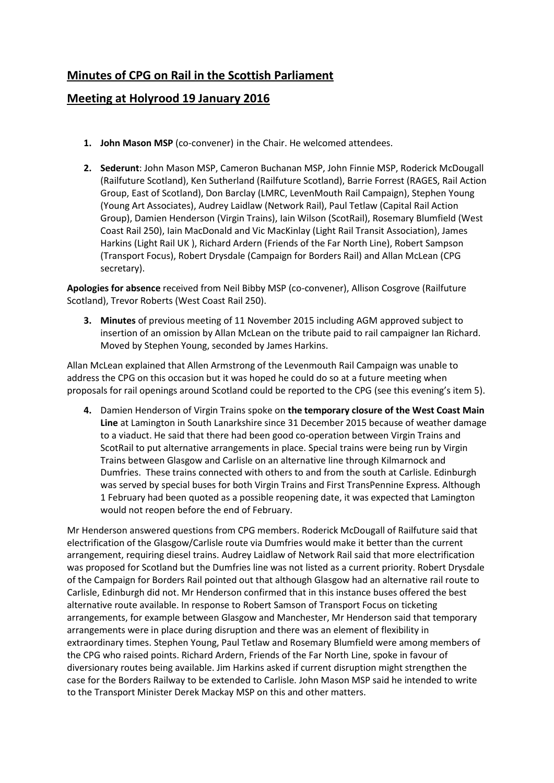## **Minutes of CPG on Rail in the Scottish Parliament**

## **Meeting at Holyrood 19 January 2016**

- **1. John Mason MSP** (co-convener) in the Chair. He welcomed attendees.
- **2. Sederunt**: John Mason MSP, Cameron Buchanan MSP, John Finnie MSP, Roderick McDougall (Railfuture Scotland), Ken Sutherland (Railfuture Scotland), Barrie Forrest (RAGES, Rail Action Group, East of Scotland), Don Barclay (LMRC, LevenMouth Rail Campaign), Stephen Young (Young Art Associates), Audrey Laidlaw (Network Rail), Paul Tetlaw (Capital Rail Action Group), Damien Henderson (Virgin Trains), Iain Wilson (ScotRail), Rosemary Blumfield (West Coast Rail 250), Iain MacDonald and Vic MacKinlay (Light Rail Transit Association), James Harkins (Light Rail UK ), Richard Ardern (Friends of the Far North Line), Robert Sampson (Transport Focus), Robert Drysdale (Campaign for Borders Rail) and Allan McLean (CPG secretary).

**Apologies for absence** received from Neil Bibby MSP (co-convener), Allison Cosgrove (Railfuture Scotland), Trevor Roberts (West Coast Rail 250).

**3. Minutes** of previous meeting of 11 November 2015 including AGM approved subject to insertion of an omission by Allan McLean on the tribute paid to rail campaigner Ian Richard. Moved by Stephen Young, seconded by James Harkins.

Allan McLean explained that Allen Armstrong of the Levenmouth Rail Campaign was unable to address the CPG on this occasion but it was hoped he could do so at a future meeting when proposals for rail openings around Scotland could be reported to the CPG (see this evening's item 5).

**4.** Damien Henderson of Virgin Trains spoke on **the temporary closure of the West Coast Main Line** at Lamington in South Lanarkshire since 31 December 2015 because of weather damage to a viaduct. He said that there had been good co-operation between Virgin Trains and ScotRail to put alternative arrangements in place. Special trains were being run by Virgin Trains between Glasgow and Carlisle on an alternative line through Kilmarnock and Dumfries. These trains connected with others to and from the south at Carlisle. Edinburgh was served by special buses for both Virgin Trains and First TransPennine Express. Although 1 February had been quoted as a possible reopening date, it was expected that Lamington would not reopen before the end of February.

Mr Henderson answered questions from CPG members. Roderick McDougall of Railfuture said that electrification of the Glasgow/Carlisle route via Dumfries would make it better than the current arrangement, requiring diesel trains. Audrey Laidlaw of Network Rail said that more electrification was proposed for Scotland but the Dumfries line was not listed as a current priority. Robert Drysdale of the Campaign for Borders Rail pointed out that although Glasgow had an alternative rail route to Carlisle, Edinburgh did not. Mr Henderson confirmed that in this instance buses offered the best alternative route available. In response to Robert Samson of Transport Focus on ticketing arrangements, for example between Glasgow and Manchester, Mr Henderson said that temporary arrangements were in place during disruption and there was an element of flexibility in extraordinary times. Stephen Young, Paul Tetlaw and Rosemary Blumfield were among members of the CPG who raised points. Richard Ardern, Friends of the Far North Line, spoke in favour of diversionary routes being available. Jim Harkins asked if current disruption might strengthen the case for the Borders Railway to be extended to Carlisle. John Mason MSP said he intended to write to the Transport Minister Derek Mackay MSP on this and other matters.